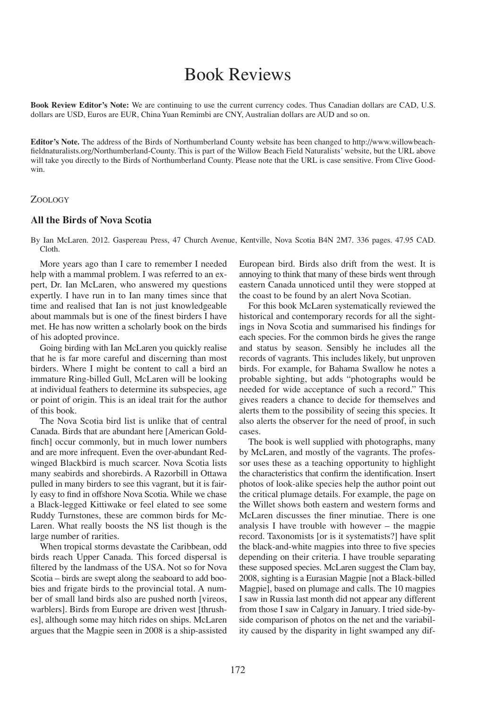## Book Reviews

**Book Review Editor's Note:** We are continuing to use the current currency codes. Thus Canadian dollars are CAD, U.S. dollars are USD, Euros are EUR, China Yuan Remimbi are CNY, Australian dollars are AUD and so on.

**Editor's Note.** The address of the Birds of Northumberland County website has been changed to http://www.willowbeachfieldnaturalists.org/Northumberland-County. This is part of the Willow Beach Field Naturalists' website, but the URL above will take you directly to the Birds of Northumberland County. Please note that the URL is case sensitive. From Clive Goodwin.

## ZOOLOGY

## **All the Birds of Nova Scotia**

By Ian McLaren. 2012. Gaspereau Press, 47 Church Avenue, Kentville, Nova Scotia B4N 2M7. 336 pages. 47.95 CAD. Cloth.

More years ago than I care to remember I needed help with a mammal problem. I was referred to an expert, Dr. Ian McLaren, who answered my questions expertly. I have run in to Ian many times since that time and realised that Ian is not just knowledgeable about mammals but is one of the finest birders I have met. He has now written a scholarly book on the birds of his adopted province.

Going birding with Ian McLaren you quickly realise that he is far more careful and discerning than most birders. Where I might be content to call a bird an immature Ring-billed Gull, McLaren will be looking at individual feathers to determine its subspecies, age or point of origin. This is an ideal trait for the author of this book.

The Nova Scotia bird list is unlike that of central Canada. Birds that are abundant here [American Goldfinch] occur commonly, but in much lower numbers and are more infrequent. Even the over-abundant Redwinged Blackbird is much scarcer. Nova Scotia lists many seabirds and shorebirds. A Razorbill in Ottawa pulled in many birders to see this vagrant, but it is fairly easy to find in offshore Nova Scotia. While we chase a Black-legged Kittiwake or feel elated to see some Ruddy Turnstones, these are common birds for Mc-Laren. What really boosts the NS list though is the large number of rarities.

When tropical storms devastate the Caribbean, odd birds reach Upper Canada. This forced dispersal is filtered by the landmass of the USA. Not so for Nova Scotia – birds are swept along the seaboard to add boobies and frigate birds to the provincial total. A number of small land birds also are pushed north [vireos, warblers]. Birds from Europe are driven west [thrushes], although some may hitch rides on ships. McLaren argues that the Magpie seen in 2008 is a ship-assisted European bird. Birds also drift from the west. It is annoying to think that many of these birds went through eastern Canada unnoticed until they were stopped at the coast to be found by an alert Nova Scotian.

For this book McLaren systematically reviewed the historical and contemporary records for all the sightings in Nova Scotia and summarised his findings for each species. For the common birds he gives the range and status by season. Sensibly he includes all the records of vagrants. This includes likely, but unproven birds. For example, for Bahama Swallow he notes a probable sighting, but adds "photographs would be needed for wide acceptance of such a record." This gives readers a chance to decide for themselves and alerts them to the possibility of seeing this species. It also alerts the observer for the need of proof, in such cases.

The book is well supplied with photographs, many by McLaren, and mostly of the vagrants. The professor uses these as a teaching opportunity to highlight the characteristics that confirm the identification. Insert photos of look-alike species help the author point out the critical plumage details. For example, the page on the Willet shows both eastern and western forms and McLaren discusses the finer minutiae. There is one analysis I have trouble with however – the magpie record. Taxonomists [or is it systematists?] have split the black-and-white magpies into three to five species depending on their criteria. I have trouble separating these supposed species. McLaren suggest the Clam bay, 2008, sighting is a Eurasian Magpie [not a Black-billed Magpie], based on plumage and calls. The 10 magpies I saw in Russia last month did not appear any different from those I saw in Calgary in January. I tried side-byside comparison of photos on the net and the variability caused by the disparity in light swamped any dif